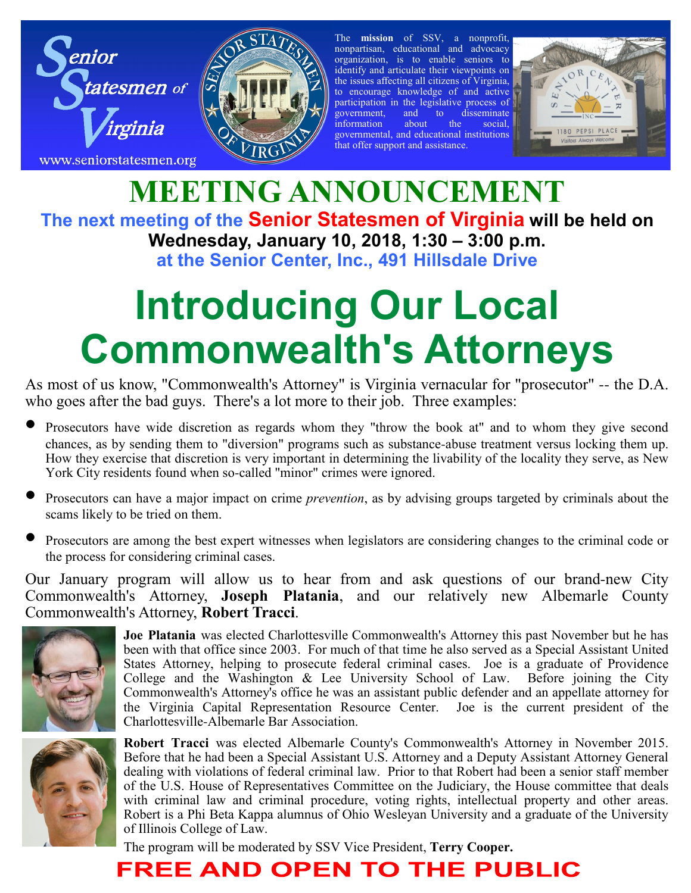



The **mission** of SSV, a nonprofit, nonpartisan, educational and advocacy organization, is to enable seniors to identify and articulate their viewpoints on the issues affecting all citizens of Virginia, to encourage knowledge of and active participation in the legislative process of<br>government, and to disseminate government, and to disseminate information about the social, governmental, and educational institutions that offer support and assistance.



### **MEETING ANNOUNCEMENT The next meeting of the Senior Statesmen of Virginia will be held on Wednesday, January 10, 2018, 1:30 – 3:00 p.m. at the Senior Center, Inc., 491 Hillsdale Drive**

# **Introducing Our Local Commonwealth's Attorneys**

As most of us know, "Commonwealth's Attorney" is Virginia vernacular for "prosecutor" -- the D.A. who goes after the bad guys. There's a lot more to their job. Three examples:

- Prosecutors have wide discretion as regards whom they "throw the book at" and to whom they give second chances, as by sending them to "diversion" programs such as substance-abuse treatment versus locking them up. How they exercise that discretion is very important in determining the livability of the locality they serve, as New York City residents found when so-called "minor" crimes were ignored.
- Prosecutors can have a major impact on crime *prevention*, as by advising groups targeted by criminals about the scams likely to be tried on them.
- Prosecutors are among the best expert witnesses when legislators are considering changes to the criminal code or the process for considering criminal cases.

Our January program will allow us to hear from and ask questions of our brand-new City Commonwealth's Attorney, **Joseph Platania**, and our relatively new Albemarle County Commonwealth's Attorney, **Robert Tracci**.



**Joe Platania** was elected Charlottesville Commonwealth's Attorney this past November but he has been with that office since 2003. For much of that time he also served as a Special Assistant United States Attorney, helping to prosecute federal criminal cases. Joe is a graduate of Providence College and the Washington  $\&$  Lee University School of Law. Before joining the City Commonwealth's Attorney's office he was an assistant public defender and an appellate attorney for the Virginia Capital Representation Resource Center. Joe is the current president of the Charlottesville-Albemarle Bar Association.



**Robert Tracci** was elected Albemarle County's Commonwealth's Attorney in November 2015. Before that he had been a Special Assistant U.S. Attorney and a Deputy Assistant Attorney General dealing with violations of federal criminal law. Prior to that Robert had been a senior staff member of the U.S. House of Representatives Committee on the Judiciary, the House committee that deals with criminal law and criminal procedure, voting rights, intellectual property and other areas. Robert is a Phi Beta Kappa alumnus of Ohio Wesleyan University and a graduate of the University of Illinois College of Law.

The program will be moderated by SSV Vice President, **Terry Cooper.**

## **FREE AND OPEN TO THE PUBLIC**